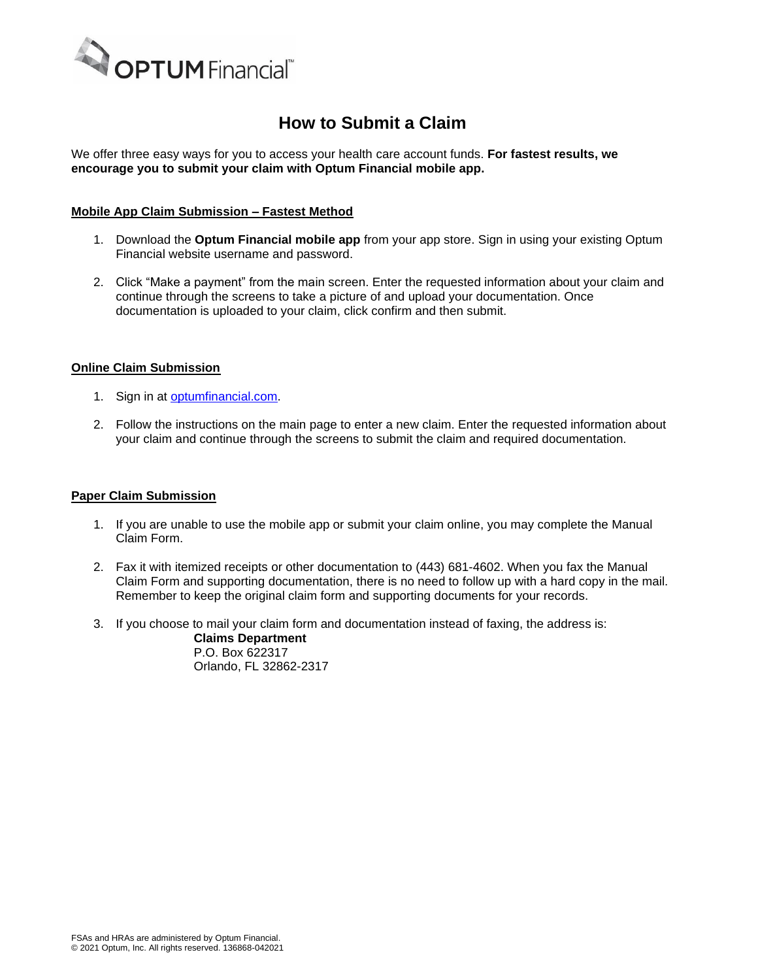

# **How to Submit a Claim**

We offer three easy ways for you to access your health care account funds. **For fastest results, we encourage you to submit your claim with Optum Financial mobile app.**

# **Mobile App Claim Submission – Fastest Method**

- 1. Download the **Optum Financial mobile app** from your app store. Sign in using your existing Optum Financial website username and password.
- 2. Click "Make a payment" from the main screen. Enter the requested information about your claim and continue through the screens to take a picture of and upload your documentation. Once documentation is uploaded to your claim, click confirm and then submit.

#### **Online Claim Submission**

- 1. Sign in at [optumfinancial.com.](https://www.optum.com/financial)
- 2. Follow the instructions on the main page to enter a new claim. Enter the requested information about your claim and continue through the screens to submit the claim and required documentation.

#### **Paper Claim Submission**

- 1. If you are unable to use the mobile app or submit your claim online, you may complete the Manual Claim Form.
- 2. Fax it with itemized receipts or other documentation to (443) 681-4602. When you fax the Manual Claim Form and supporting documentation, there is no need to follow up with a hard copy in the mail. Remember to keep the original claim form and supporting documents for your records.
- 3. If you choose to mail your claim form and documentation instead of faxing, the address is:

**Claims Department** P.O. Box 622317 Orlando, FL 32862-2317